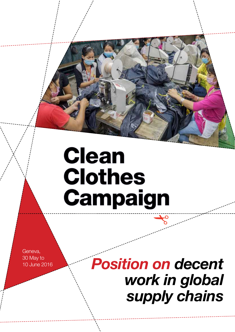# **Clean Clothes Campaign**

Geneva, 30 May to 10 June 2016

*Position on decent work in global supply chains*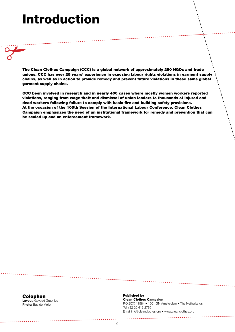## Introduction

✁

The Clean Clothes Campaign (CCC) is a global network of approximately 250 NGOs and trade unions. CCC has over 25 years' experience in exposing labour rights violations in garment supply chains, as well as in action to provide remedy and prevent future violations in these same global garment supply chains.

CCC been involved in research and in nearly 400 cases where mostly women workers reported violations, ranging from wage theft and dismissal of union leaders to thousands of injured and dead workers following failure to comply with basic fire and building safety provisions. At the occasion of the 105th Session of the International Labour Conference, Clean Clothes Campaign emphasizes the need of an institutional framework for remedy and prevention that can be scaled up and an enforcement framework.

Colophon Layout: Gevaert Graphics Photo: Bas de Meijer

Published by Clean Clothes Campaign P.O.BOX 11584 • 1001 GN Amsterdam • The Netherlands Tel +32 20 412 2785 Email info@cleanclothes.org • www.cleanclothes.org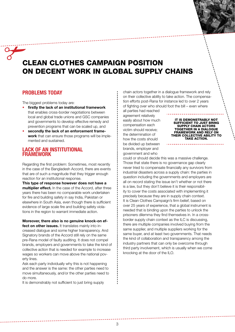### $\frac{1}{\sqrt{2}}$ Clean Clothes Campaign Position on decent work in global supply chains

#### PROBLEMS TODAY

The biggest problems today are:

- firstly the lack of an institutional framework that enables cross-border negotiations between local and global trade unions and GSC companies and governments to develop effective remedy and prevention programs that can be scaled up, and
- secondly the lack of an enforcement framework that can ensure those programs will be implemented and sustained.

#### Lack of an institutional **FRAMEWORK**

Regarding the first problem: Sometimes, most recently in the case of the Bangladesh Accord, there are events that are of such a magnitude that they trigger enough reaction for an institutional response.

This type of response however does not have a multiplier effect. In the case of the Accord, after three years there has been no comparable work undertaken for fire and building safety in say India, Pakistan or elsewhere in South Asia, even though there is sufficient evidence of large scale fire and building safety violations in the region to warrant immediate action.

#### Moreover, there also is no genuine knock-on effect on other issues. It translates mainly into in-

creased dialogue and some higher transparency. And Signatory brands of the Accord still rely on the same pre-Rana model of faulty auditing. It does not compel brands, employers and governments to take the kind of collective action that is needed for example to increase wages so workers can move above the national poverty lines.

Ask each party individually why this is not happening and the answer is the same: the other parties need to move simultaneously, and/or the other parties need to do more.

It is demonstrably not sufficient to just bring supply

chain actors together in a dialogue framework and rely on their collective ability to take action. The compensation efforts post-Rana for instance led to over 2 years of fighting over who should foot the bill – even where

all parties had reached agreement relatively easily about how much compensation each victim should receive; the determination of how the costs should be divided up between brands, employer and government and who

It is demonstrably not sufficient to just bring supply chain actors together in a dialogue framework and rely on their collective ability to TAKE ACTION.

could or should decide this was a massive challenge. Those that state there is no governance gap clearly never tried to compensate financially any survivors from industrial disasters across a supply chain: the parties in question including the governments and employers are all on record stating the issue isn't whether or not there is a law, but they don't believe it is their responsibility to cover the costs associated with implementing it precisely because they are in supply chain context. It is Clean Clothes Campaign's firm belief, based on over 25 years of experience, that a global instrument is needed that is binding upon the parties to unlock the prisoners dilemma they find themselves in. In a crossborder supply chain context as the ILC is discussing, there are multiple companies involved buying from the same supplier, and multiple suppliers working for the same buyer, and at least two governments. That needs the kind of collaboration and transparency among the industry partners that can only be overcome through third party involvement, which is usually when we come knocking at the door of the ILO.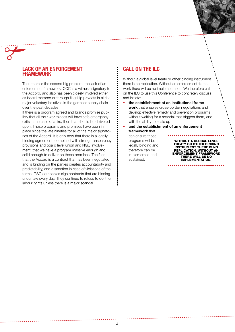#### Lack of an enforcement **FRAMEWORK**

✁

Then there is the second big problem: the lack of an enforcement framework. CCC is a witness signatory to the Accord, and also has been closely involved either as board member or through flagship projects in all the major voluntary initiatives in the garment supply chain over the past decades.

If there is a program agreed and brands promise publicly that all their workplaces will have safe emergency exits in the case of a fire, then that should be delivered upon. Those programs and promises have been in place since the late nineties for all of the major signatories of the Accord. It is only now that there is a legally binding agreement, combined with strong transparency provisions and board level union and NGO involvement, that we have a program massive enough and solid enough to deliver on those promises. The fact that the Accord is a contract that has been negotiated and is binding on the parties creates accountability and predictability, and a sanction in case of violations of the terms. GSC companies sign contracts that are binding under law every day. They continue to refuse to do it for labour rights unless there is a major scandal.

#### CALL ON THE ILC

Without a global level treaty or other binding instrument there is no replication. Without an enforcement framework there will be no implementation. We therefore call on the ILC to use this Conference to concretely discuss and initiate:

the establishment of an institutional framework that enables cross-border negotiations and develop effective remedy and prevention programs without waiting for a scandal that triggers them, and with the ability to scale up

and the establishment of an enforcement framework that can ensure those

programs will be legally binding and therefore can be implemented and sustained.

Without a global level treaty or other binding instrument there is no replication. Without an enforcement framework there will be no implementation.